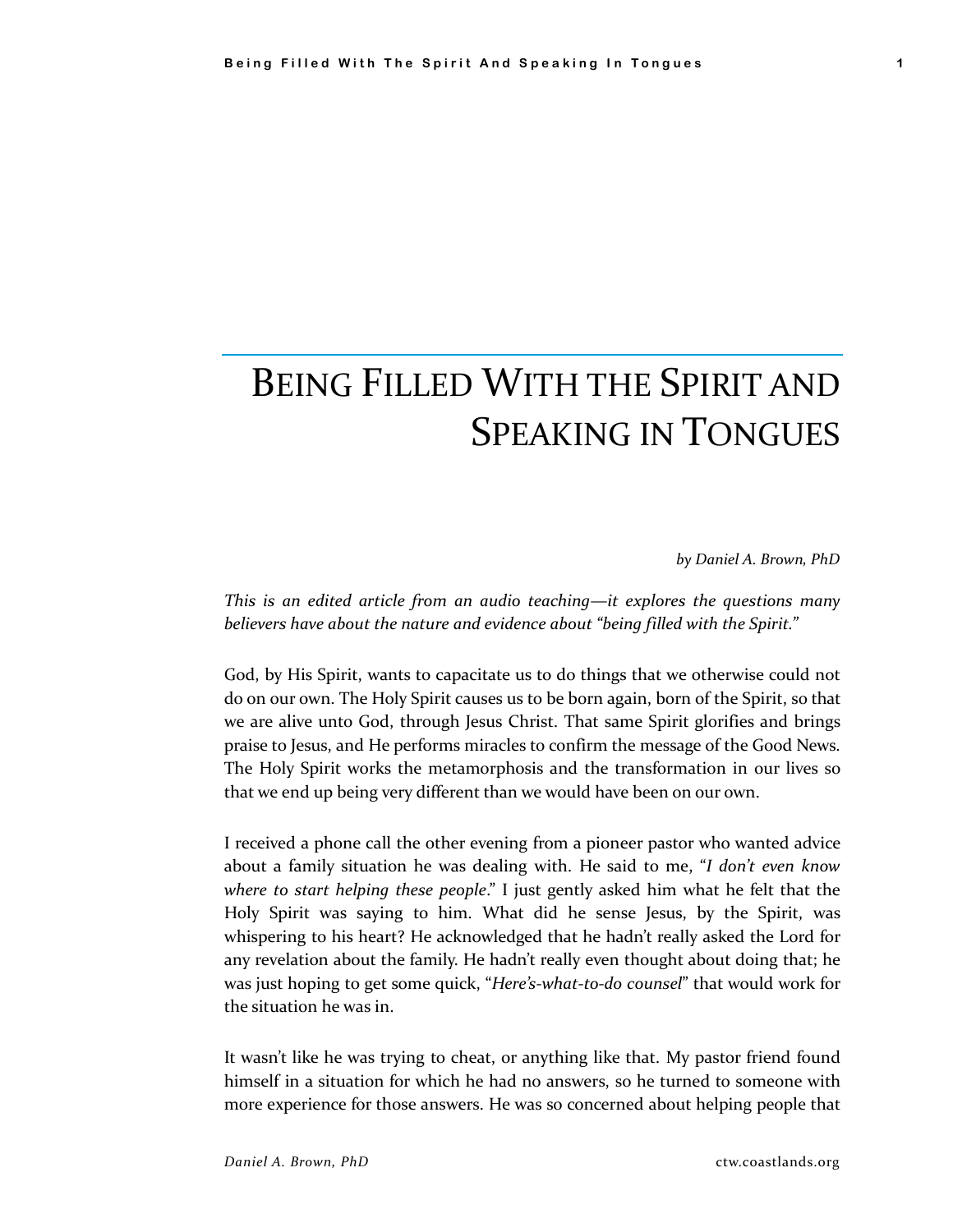# BEING FILLED WITH THE SPIRIT AND SPEAKING IN TONGUES

*by Daniel A. Brown, PhD*

*This is an edited article from an audio teaching—it explores the questions many believers have about the nature and evidence about "being filled with the Spirit."*

God, by His Spirit, wants to capacitate us to do things that we otherwise could not do on our own. The Holy Spirit causes us to be born again, born of the Spirit, so that we are alive unto God, through Jesus Christ. That same Spirit glorifies and brings praise to Jesus, and He performs miracles to confirm the message of the Good News. The Holy Spirit works the metamorphosis and the transformation in our lives so that we end up being very different than we would have been on our own.

I received a phone call the other evening from a pioneer pastor who wanted advice about a family situation he was dealing with. He said to me, "*I don't even know where to start helping these people*." I just gently asked him what he felt that the Holy Spirit was saying to him. What did he sense Jesus, by the Spirit, was whispering to his heart? He acknowledged that he hadn't really asked the Lord for any revelation about the family. He hadn't really even thought about doing that; he was just hoping to get some quick, "*Here's-what-to-do counsel*" that would work for the situation he was in.

It wasn't like he was trying to cheat, or anything like that. My pastor friend found himself in a situation for which he had no answers, so he turned to someone with more experience for those answers. He was so concerned about helping people that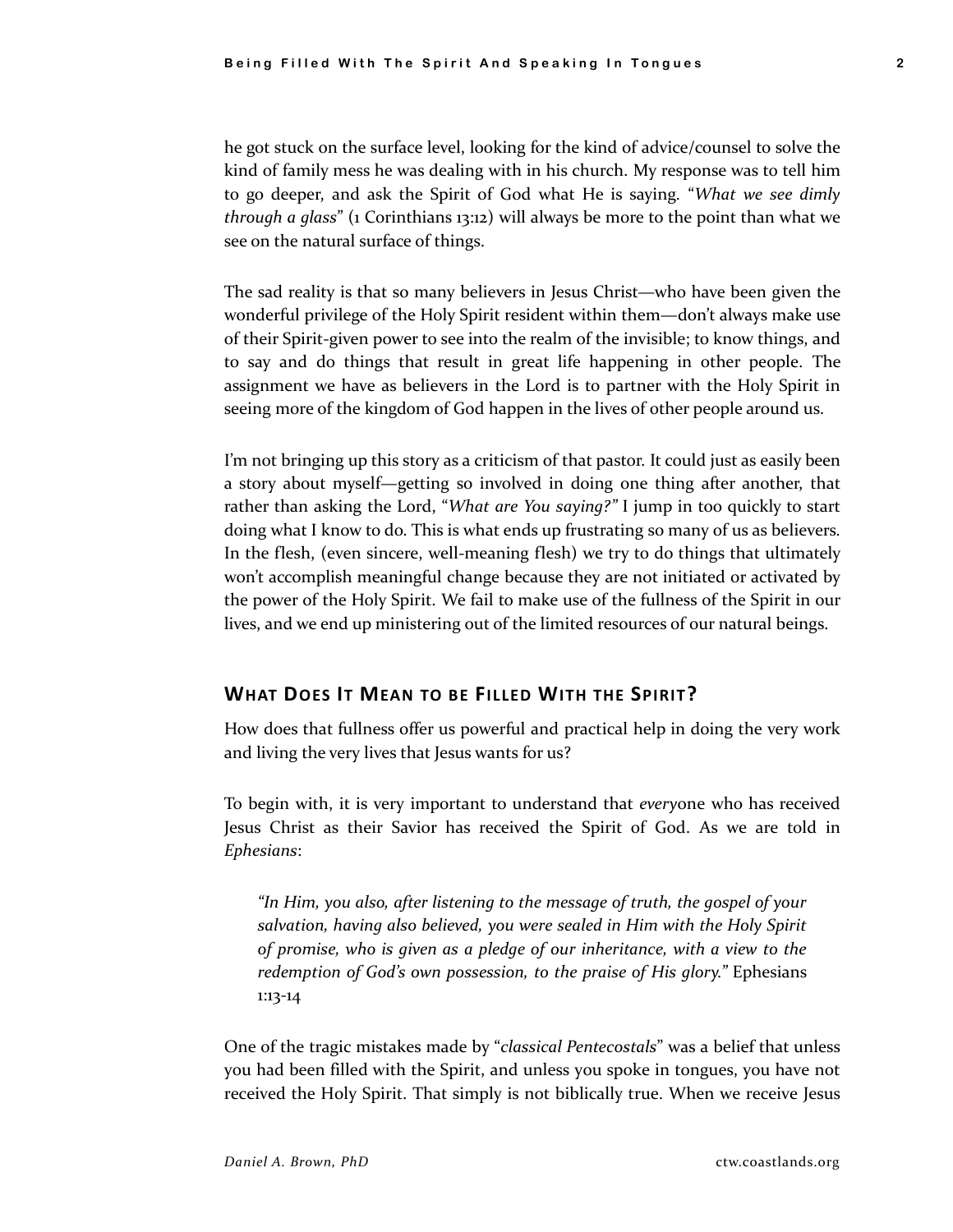he got stuck on the surface level, looking for the kind of advice/counsel to solve the kind of family mess he was dealing with in his church. My response was to tell him to go deeper, and ask the Spirit of God what He is saying. "*What we see dimly through a glass*" (1 Corinthians 13:12) will always be more to the point than what we see on the natural surface of things.

The sad reality is that so many believers in Jesus Christ—who have been given the wonderful privilege of the Holy Spirit resident within them—don't always make use of their Spirit-given power to see into the realm of the invisible; to know things, and to say and do things that result in great life happening in other people. The assignment we have as believers in the Lord is to partner with the Holy Spirit in seeing more of the kingdom of God happen in the lives of other people around us.

I'm not bringing up this story as a criticism of that pastor. It could just as easily been a story about myself—getting so involved in doing one thing after another, that rather than asking the Lord, "*What are You saying?"* I jump in too quickly to start doing what I know to do. This is what ends up frustrating so many of us as believers. In the flesh, (even sincere, well-meaning flesh) we try to do things that ultimately won't accomplish meaningful change because they are not initiated or activated by the power of the Holy Spirit. We fail to make use of the fullness of the Spirit in our lives, and we end up ministering out of the limited resources of our natural beings.

## **WHAT DOES IT MEAN TO BE FILLED WITH THE SPIRIT?**

How does that fullness offer us powerful and practical help in doing the very work and living the very lives that Jesus wants for us?

To begin with, it is very important to understand that *every*one who has received Jesus Christ as their Savior has received the Spirit of God. As we are told in *Ephesians*:

*"In Him, you also, after listening to the message of truth, the gospel of your salvation, having also believed, you were sealed in Him with the Holy Spirit of promise, who is given as a pledge of our inheritance, with a view to the redemption of God's own possession, to the praise of His glory."* Ephesians 1:13-14

One of the tragic mistakes made by "*classical Pentecostals*" was a belief that unless you had been filled with the Spirit, and unless you spoke in tongues, you have not received the Holy Spirit. That simply is not biblically true. When we receive Jesus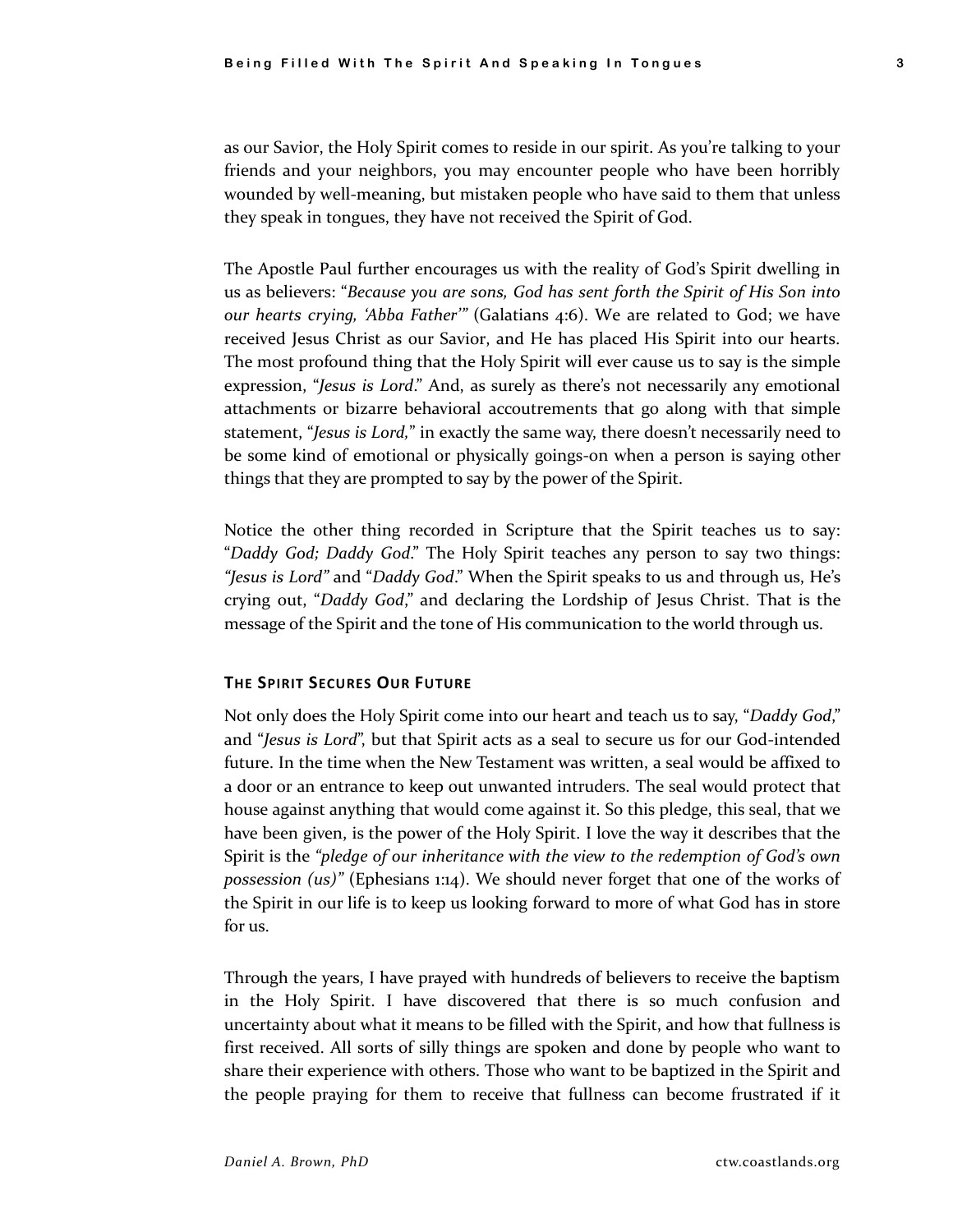as our Savior, the Holy Spirit comes to reside in our spirit. As you're talking to your friends and your neighbors, you may encounter people who have been horribly wounded by well-meaning, but mistaken people who have said to them that unless they speak in tongues, they have not received the Spirit of God.

The Apostle Paul further encourages us with the reality of God's Spirit dwelling in us as believers: "*Because you are sons, God has sent forth the Spirit of His Son into our hearts crying, 'Abba Father'"* (Galatians 4:6). We are related to God; we have received Jesus Christ as our Savior, and He has placed His Spirit into our hearts. The most profound thing that the Holy Spirit will ever cause us to say is the simple expression, "*Jesus is Lord*." And, as surely as there's not necessarily any emotional attachments or bizarre behavioral accoutrements that go along with that simple statement, "*Jesus is Lord,*" in exactly the same way, there doesn't necessarily need to be some kind of emotional or physically goings-on when a person is saying other things that they are prompted to say by the power of the Spirit.

Notice the other thing recorded in Scripture that the Spirit teaches us to say: "*Daddy God; Daddy God*." The Holy Spirit teaches any person to say two things: *"Jesus is Lord"* and "*Daddy God*." When the Spirit speaks to us and through us, He's crying out, "*Daddy God*," and declaring the Lordship of Jesus Christ. That is the message of the Spirit and the tone of His communication to the world through us.

#### **THE SPIRIT SECURES OUR FUTURE**

Not only does the Holy Spirit come into our heart and teach us to say, "*Daddy God*," and "*Jesus is Lord*", but that Spirit acts as a seal to secure us for our God-intended future. In the time when the New Testament was written, a seal would be affixed to a door or an entrance to keep out unwanted intruders. The seal would protect that house against anything that would come against it. So this pledge, this seal, that we have been given, is the power of the Holy Spirit. I love the way it describes that the Spirit is the *"pledge of our inheritance with the view to the redemption of God's own possession (us)"* (Ephesians 1:14). We should never forget that one of the works of the Spirit in our life is to keep us looking forward to more of what God has in store for us.

Through the years, I have prayed with hundreds of believers to receive the baptism in the Holy Spirit. I have discovered that there is so much confusion and uncertainty about what it means to be filled with the Spirit, and how that fullness is first received. All sorts of silly things are spoken and done by people who want to share their experience with others. Those who want to be baptized in the Spirit and the people praying for them to receive that fullness can become frustrated if it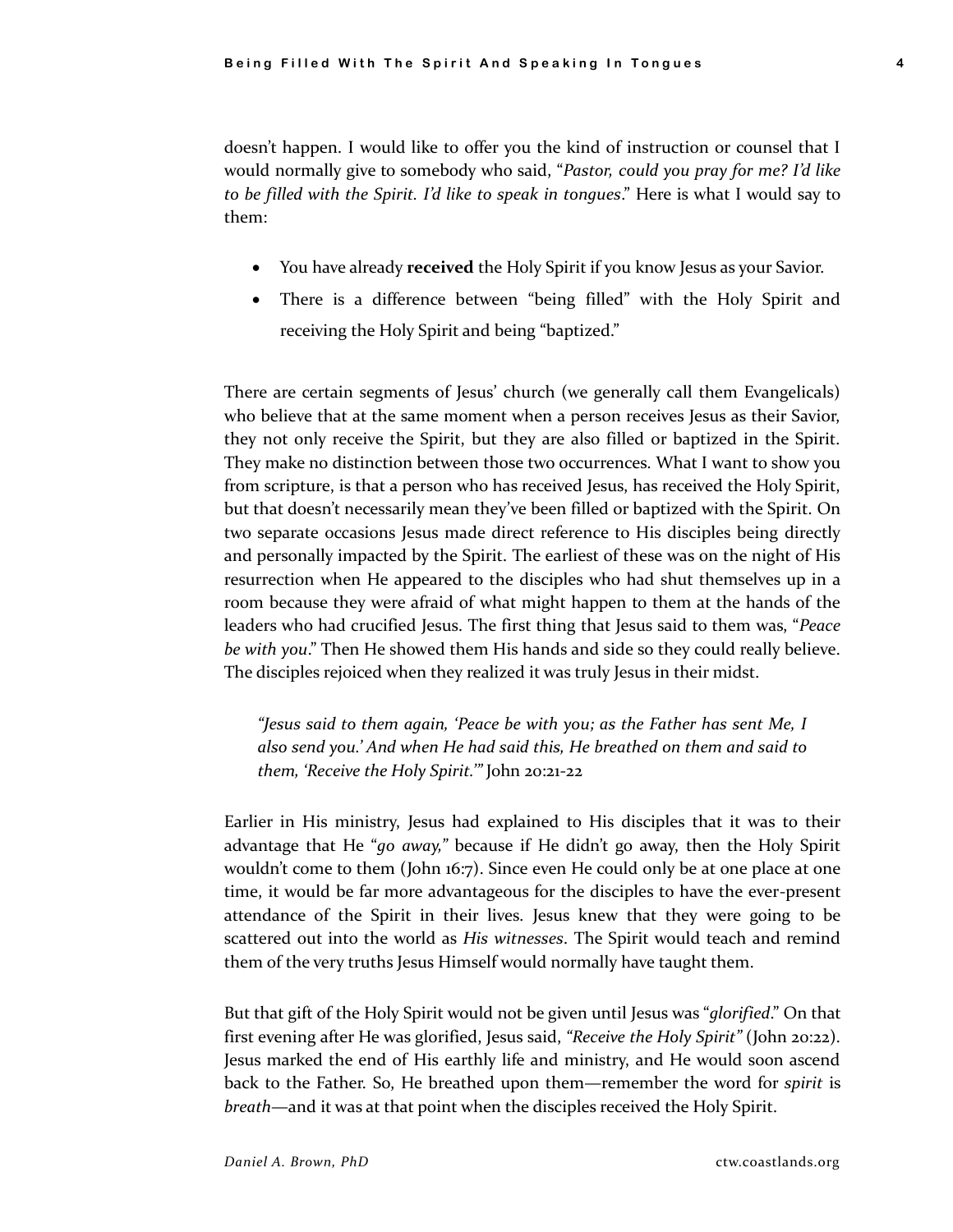doesn't happen. I would like to offer you the kind of instruction or counsel that I would normally give to somebody who said, "*Pastor, could you pray for me? I'd like to be filled with the Spirit. I'd like to speak in tongues*." Here is what I would say to them:

- You have already **received** the Holy Spirit if you know Jesus as your Savior.
- There is a difference between "being filled" with the Holy Spirit and receiving the Holy Spirit and being "baptized."

There are certain segments of Jesus' church (we generally call them Evangelicals) who believe that at the same moment when a person receives Jesus as their Savior, they not only receive the Spirit, but they are also filled or baptized in the Spirit. They make no distinction between those two occurrences. What I want to show you from scripture, is that a person who has received Jesus, has received the Holy Spirit, but that doesn't necessarily mean they've been filled or baptized with the Spirit. On two separate occasions Jesus made direct reference to His disciples being directly and personally impacted by the Spirit. The earliest of these was on the night of His resurrection when He appeared to the disciples who had shut themselves up in a room because they were afraid of what might happen to them at the hands of the leaders who had crucified Jesus. The first thing that Jesus said to them was, "*Peace be with you*." Then He showed them His hands and side so they could really believe. The disciples rejoiced when they realized it was truly Jesus in their midst.

*"Jesus said to them again, 'Peace be with you; as the Father has sent Me, I also send you.' And when He had said this, He breathed on them and said to them, 'Receive the Holy Spirit.'"* John 20:21-22

Earlier in His ministry, Jesus had explained to His disciples that it was to their advantage that He "*go away,"* because if He didn't go away, then the Holy Spirit wouldn't come to them (John 16:7). Since even He could only be at one place at one time, it would be far more advantageous for the disciples to have the ever-present attendance of the Spirit in their lives. Jesus knew that they were going to be scattered out into the world as *His witnesses*. The Spirit would teach and remind them of the very truths Jesus Himself would normally have taught them.

But that gift of the Holy Spirit would not be given until Jesus was "*glorified*." On that first evening after He was glorified, Jesus said, *"Receive the Holy Spirit"* (John 20:22). Jesus marked the end of His earthly life and ministry, and He would soon ascend back to the Father. So, He breathed upon them—remember the word for *spirit* is *breath*—and it was at that point when the disciples received the Holy Spirit.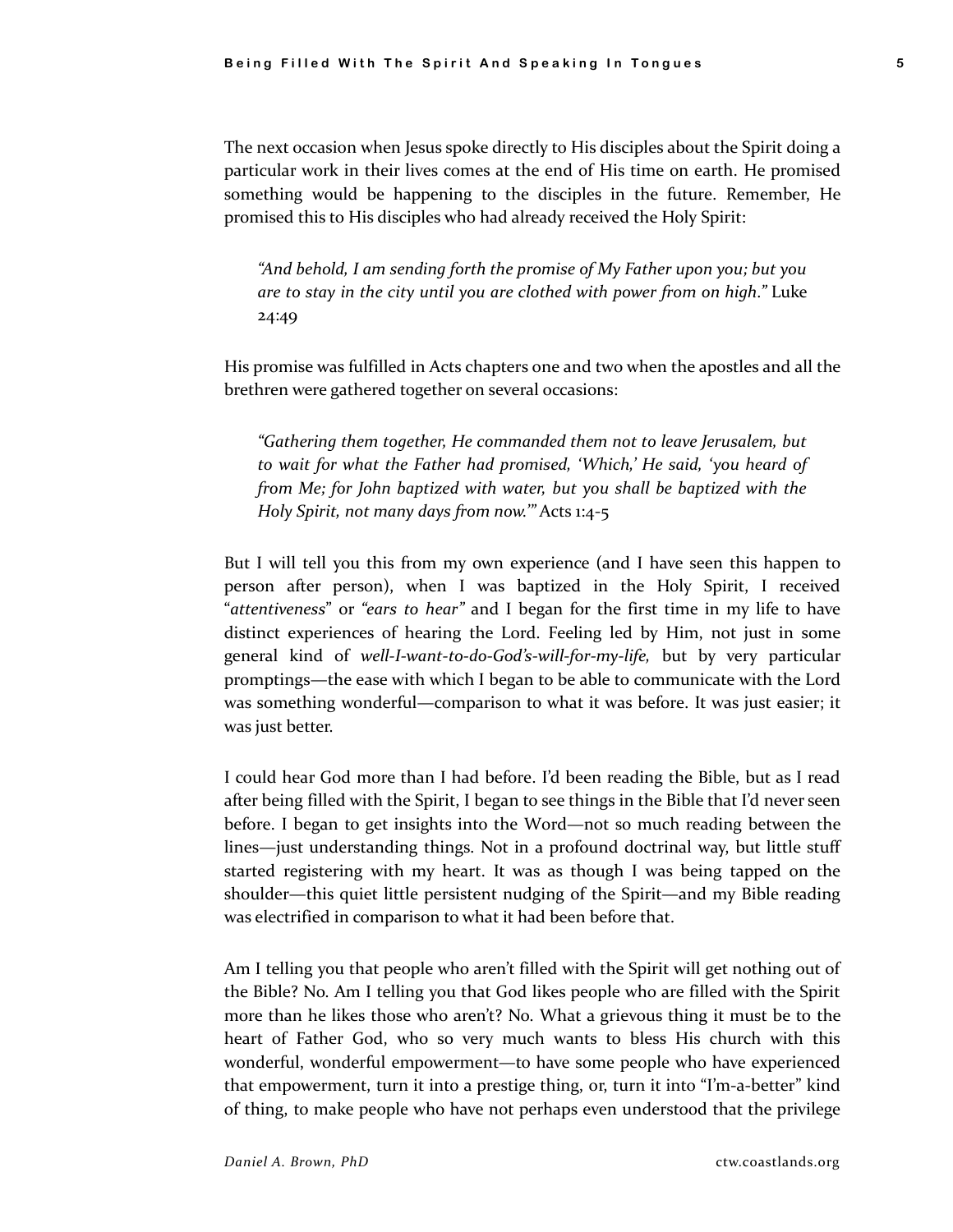The next occasion when Jesus spoke directly to His disciples about the Spirit doing a particular work in their lives comes at the end of His time on earth. He promised something would be happening to the disciples in the future. Remember, He promised this to His disciples who had already received the Holy Spirit:

*"And behold, I am sending forth the promise of My Father upon you; but you are to stay in the city until you are clothed with power from on high."* Luke 24:49

His promise was fulfilled in Acts chapters one and two when the apostles and all the brethren were gathered together on several occasions:

*"Gathering them together, He commanded them not to leave Jerusalem, but to wait for what the Father had promised, 'Which,' He said, 'you heard of from Me; for John baptized with water, but you shall be baptized with the Holy Spirit, not many days from now.'"* Acts 1:4-5

But I will tell you this from my own experience (and I have seen this happen to person after person), when I was baptized in the Holy Spirit, I received "*attentiveness*" or *"ears to hear"* and I began for the first time in my life to have distinct experiences of hearing the Lord. Feeling led by Him, not just in some general kind of *well-I-want-to-do-God's-will-for-my-life,* but by very particular promptings—the ease with which I began to be able to communicate with the Lord was something wonderful—comparison to what it was before. It was just easier; it was just better.

I could hear God more than I had before. I'd been reading the Bible, but as I read after being filled with the Spirit, I began to see things in the Bible that I'd never seen before. I began to get insights into the Word—not so much reading between the lines—just understanding things. Not in a profound doctrinal way, but little stuff started registering with my heart. It was as though I was being tapped on the shoulder—this quiet little persistent nudging of the Spirit—and my Bible reading was electrified in comparison to what it had been before that.

Am I telling you that people who aren't filled with the Spirit will get nothing out of the Bible? No. Am I telling you that God likes people who are filled with the Spirit more than he likes those who aren't? No. What a grievous thing it must be to the heart of Father God, who so very much wants to bless His church with this wonderful, wonderful empowerment—to have some people who have experienced that empowerment, turn it into a prestige thing, or, turn it into "I'm-a-better" kind of thing, to make people who have not perhaps even understood that the privilege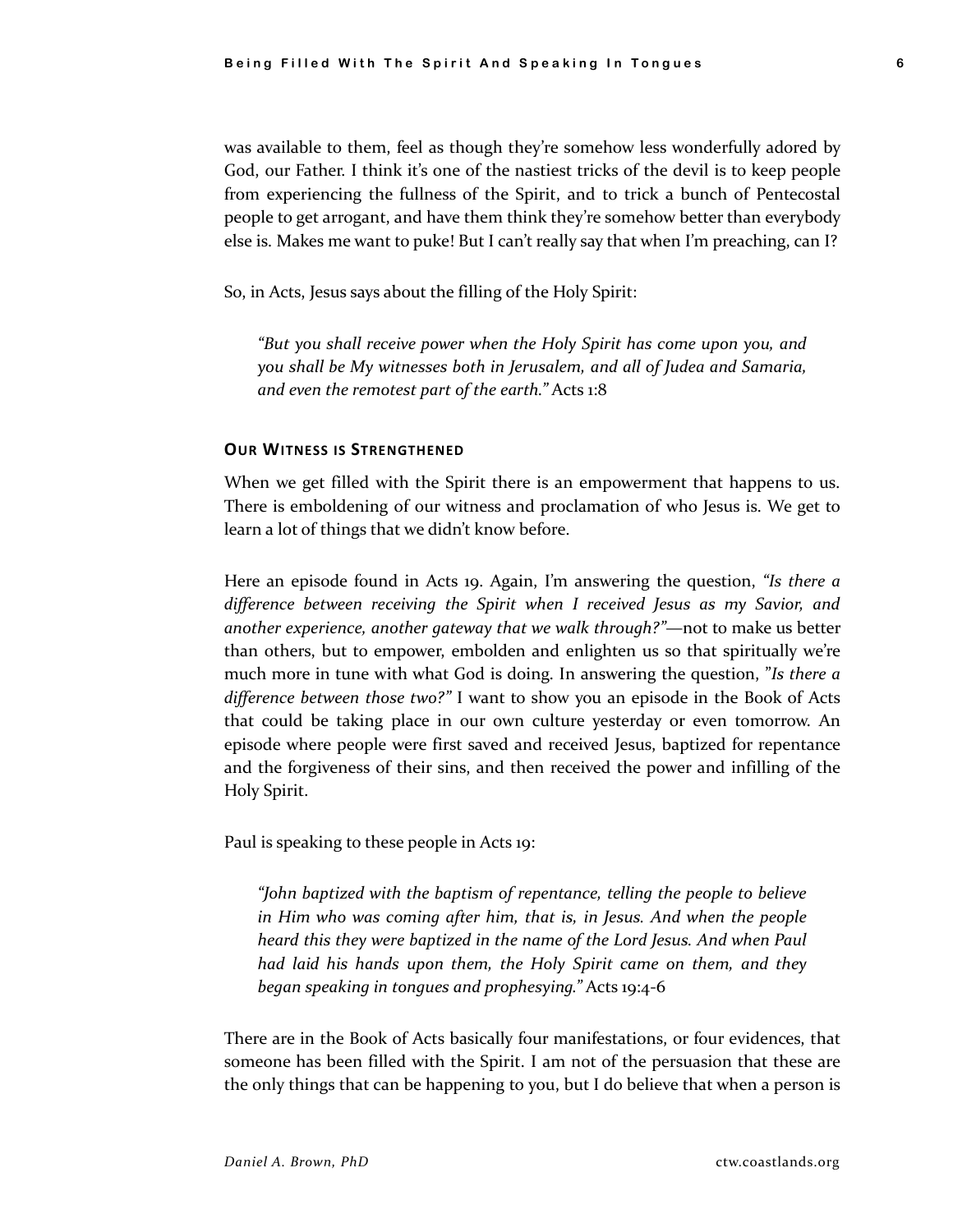was available to them, feel as though they're somehow less wonderfully adored by God, our Father. I think it's one of the nastiest tricks of the devil is to keep people from experiencing the fullness of the Spirit, and to trick a bunch of Pentecostal people to get arrogant, and have them think they're somehow better than everybody else is. Makes me want to puke! But I can't really say that when I'm preaching, can I?

So, in Acts, Jesus says about the filling of the Holy Spirit:

*"But you shall receive power when the Holy Spirit has come upon you, and you shall be My witnesses both in Jerusalem, and all of Judea and Samaria, and even the remotest part of the earth."* Acts 1:8

#### **OUR WITNESS IS STRENGTHENED**

When we get filled with the Spirit there is an empowerment that happens to us. There is emboldening of our witness and proclamation of who Jesus is. We get to learn a lot of things that we didn't know before.

Here an episode found in Acts 19. Again, I'm answering the question, *"Is there a difference between receiving the Spirit when I received Jesus as my Savior, and another experience, another gateway that we walk through?"*—not to make us better than others, but to empower, embolden and enlighten us so that spiritually we're much more in tune with what God is doing. In answering the question, "*Is there a difference between those two?"* I want to show you an episode in the Book of Acts that could be taking place in our own culture yesterday or even tomorrow. An episode where people were first saved and received Jesus, baptized for repentance and the forgiveness of their sins, and then received the power and infilling of the Holy Spirit.

Paul is speaking to these people in Acts 19:

*"John baptized with the baptism of repentance, telling the people to believe in Him who was coming after him, that is, in Jesus. And when the people heard this they were baptized in the name of the Lord Jesus. And when Paul had laid his hands upon them, the Holy Spirit came on them, and they began speaking in tongues and prophesying."* Acts 19:4-6

There are in the Book of Acts basically four manifestations, or four evidences, that someone has been filled with the Spirit. I am not of the persuasion that these are the only things that can be happening to you, but I do believe that when a person is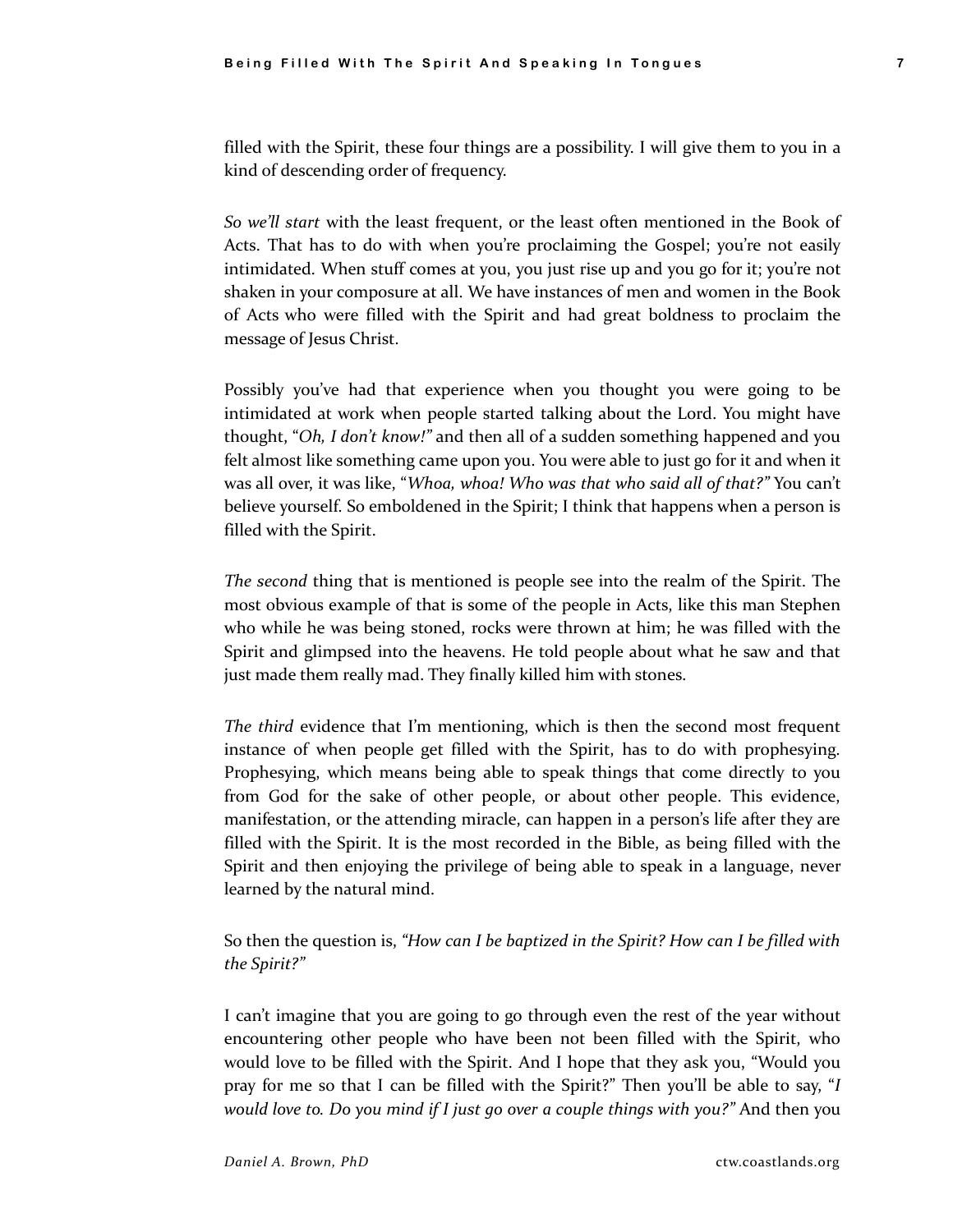filled with the Spirit, these four things are a possibility. I will give them to you in a kind of descending order of frequency.

*So we'll start* with the least frequent, or the least often mentioned in the Book of Acts. That has to do with when you're proclaiming the Gospel; you're not easily intimidated. When stuff comes at you, you just rise up and you go for it; you're not shaken in your composure at all. We have instances of men and women in the Book of Acts who were filled with the Spirit and had great boldness to proclaim the message of Jesus Christ.

Possibly you've had that experience when you thought you were going to be intimidated at work when people started talking about the Lord. You might have thought, "*Oh, I don't know!"* and then all of a sudden something happened and you felt almost like something came upon you. You were able to just go for it and when it was all over, it was like, "*Whoa, whoa! Who was that who said all of that?"* You can't believe yourself. So emboldened in the Spirit; I think that happens when a person is filled with the Spirit.

*The second* thing that is mentioned is people see into the realm of the Spirit. The most obvious example of that is some of the people in Acts, like this man Stephen who while he was being stoned, rocks were thrown at him; he was filled with the Spirit and glimpsed into the heavens. He told people about what he saw and that just made them really mad. They finally killed him with stones.

*The third* evidence that I'm mentioning, which is then the second most frequent instance of when people get filled with the Spirit, has to do with prophesying. Prophesying, which means being able to speak things that come directly to you from God for the sake of other people, or about other people. This evidence, manifestation, or the attending miracle, can happen in a person's life after they are filled with the Spirit. It is the most recorded in the Bible, as being filled with the Spirit and then enjoying the privilege of being able to speak in a language, never learned by the natural mind.

So then the question is, *"How can I be baptized in the Spirit? How can I be filled with the Spirit?"* 

I can't imagine that you are going to go through even the rest of the year without encountering other people who have been not been filled with the Spirit, who would love to be filled with the Spirit. And I hope that they ask you, "Would you pray for me so that I can be filled with the Spirit?" Then you'll be able to say, "*I would love to. Do you mind if I just go over a couple things with you?"* And then you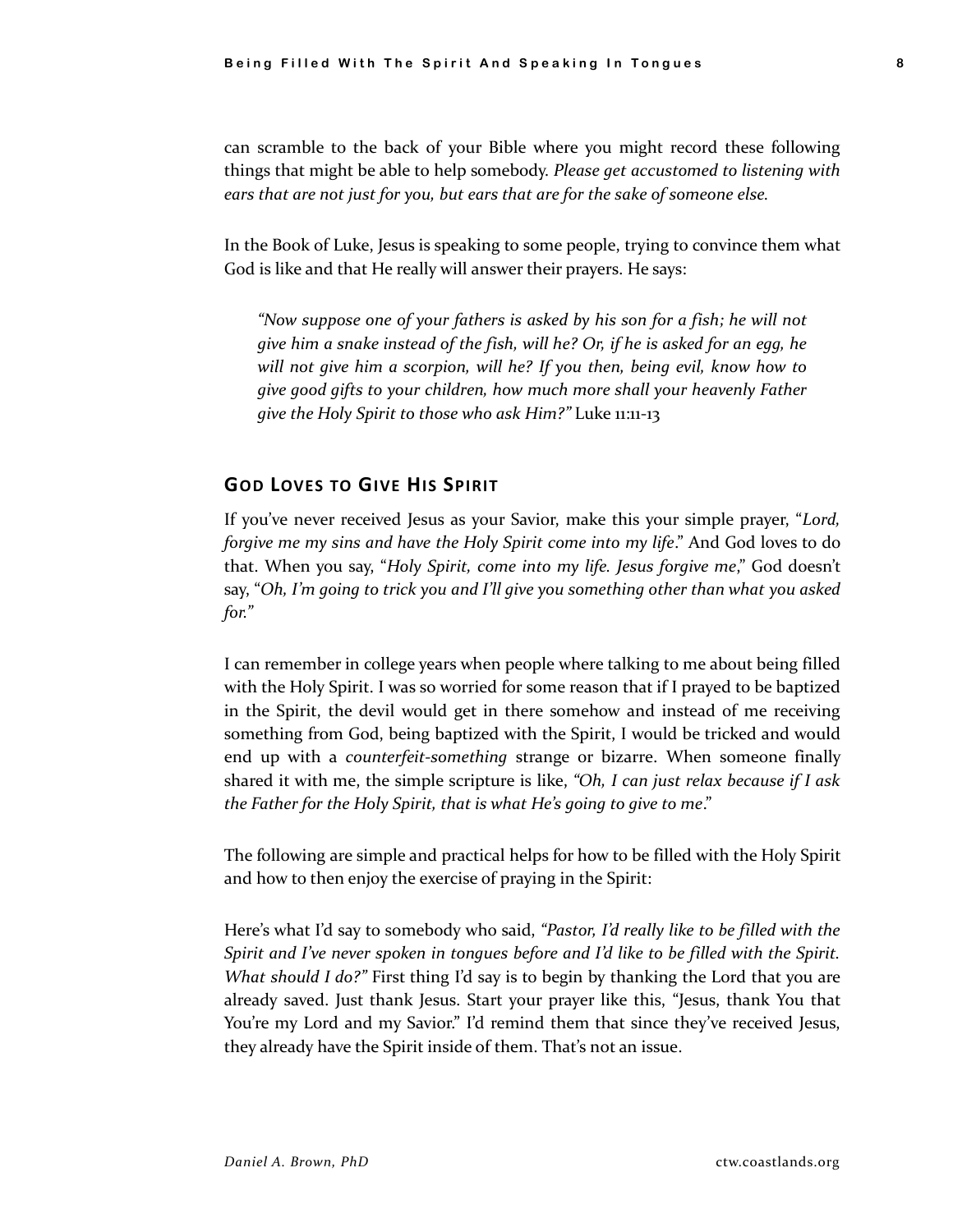can scramble to the back of your Bible where you might record these following things that might be able to help somebody. *Please get accustomed to listening with ears that are not just for you, but ears that are for the sake of someone else.*

In the Book of Luke, Jesus is speaking to some people, trying to convince them what God is like and that He really will answer their prayers. He says:

*"Now suppose one of your fathers is asked by his son for a fish; he will not give him a snake instead of the fish, will he? Or, if he is asked for an egg, he will not give him a scorpion, will he? If you then, being evil, know how to give good gifts to your children, how much more shall your heavenly Father give the Holy Spirit to those who ask Him?"* Luke 11:11-13

### **GOD LOVES TO GIVE HIS SPIRIT**

If you've never received Jesus as your Savior, make this your simple prayer, "*Lord, forgive me my sins and have the Holy Spirit come into my life*." And God loves to do that. When you say, "*Holy Spirit, come into my life. Jesus forgive me*," God doesn't say, "*Oh, I'm going to trick you and I'll give you something other than what you asked for."*

I can remember in college years when people where talking to me about being filled with the Holy Spirit. I was so worried for some reason that if I prayed to be baptized in the Spirit, the devil would get in there somehow and instead of me receiving something from God, being baptized with the Spirit, I would be tricked and would end up with a *counterfeit-something* strange or bizarre. When someone finally shared it with me, the simple scripture is like, *"Oh, I can just relax because if I ask the Father for the Holy Spirit, that is what He's going to give to me*."

The following are simple and practical helps for how to be filled with the Holy Spirit and how to then enjoy the exercise of praying in the Spirit:

Here's what I'd say to somebody who said, *"Pastor, I'd really like to be filled with the Spirit and I've never spoken in tongues before and I'd like to be filled with the Spirit. What should I do?"* First thing I'd say is to begin by thanking the Lord that you are already saved. Just thank Jesus. Start your prayer like this, "Jesus, thank You that You're my Lord and my Savior." I'd remind them that since they've received Jesus, they already have the Spirit inside of them. That's not an issue.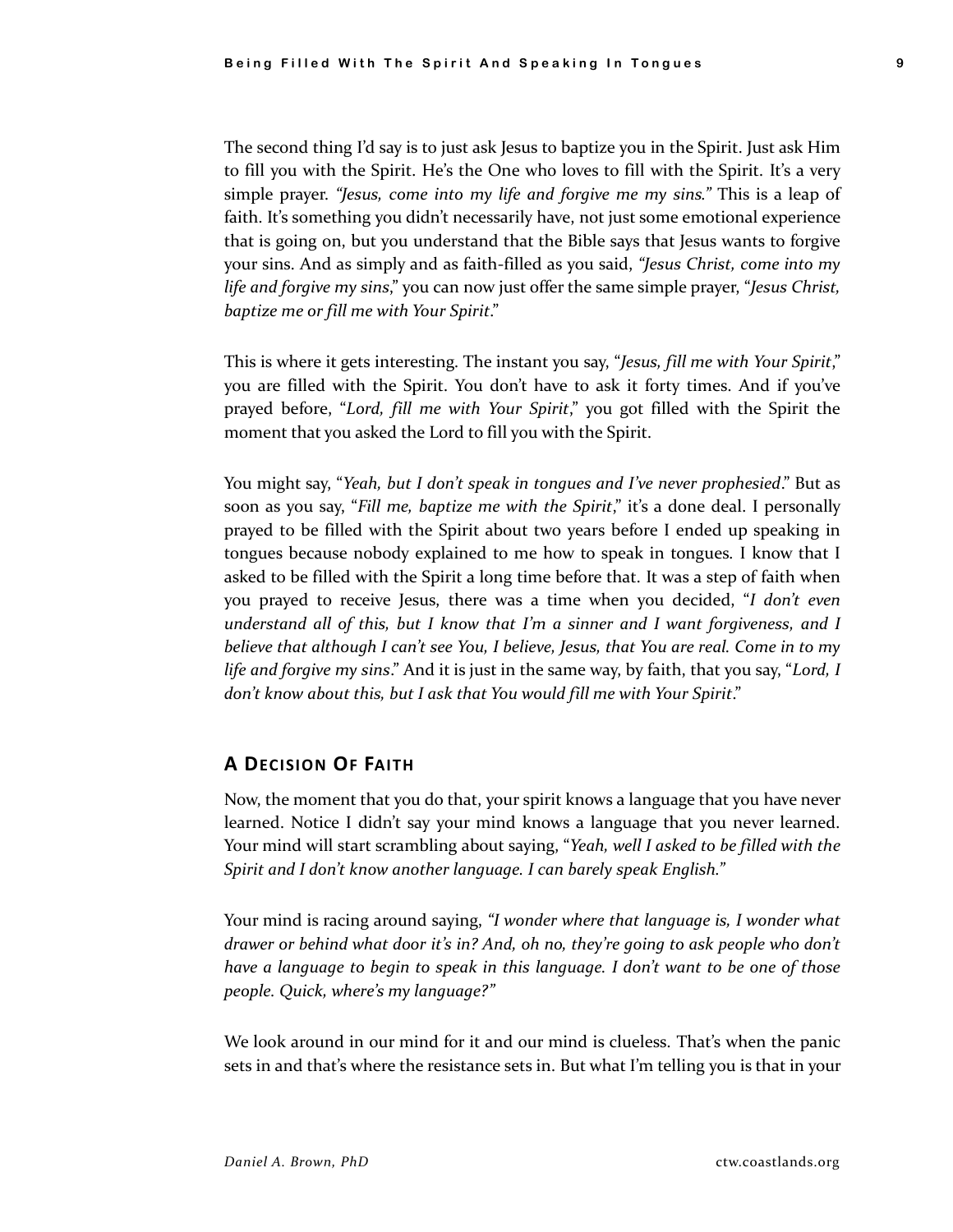The second thing I'd say is to just ask Jesus to baptize you in the Spirit. Just ask Him to fill you with the Spirit. He's the One who loves to fill with the Spirit. It's a very simple prayer. *"Jesus, come into my life and forgive me my sins."* This is a leap of faith. It's something you didn't necessarily have, not just some emotional experience that is going on, but you understand that the Bible says that Jesus wants to forgive your sins. And as simply and as faith-filled as you said, *"Jesus Christ, come into my life and forgive my sins*," you can now just offer the same simple prayer, "*Jesus Christ, baptize me or fill me with Your Spirit*."

This is where it gets interesting. The instant you say, "*Jesus, fill me with Your Spirit*," you are filled with the Spirit. You don't have to ask it forty times. And if you've prayed before, "*Lord, fill me with Your Spirit*," you got filled with the Spirit the moment that you asked the Lord to fill you with the Spirit.

You might say, "*Yeah, but I don't speak in tongues and I've never prophesied*." But as soon as you say, "*Fill me, baptize me with the Spirit*," it's a done deal. I personally prayed to be filled with the Spirit about two years before I ended up speaking in tongues because nobody explained to me how to speak in tongues. I know that I asked to be filled with the Spirit a long time before that. It was a step of faith when you prayed to receive Jesus, there was a time when you decided, "*I don't even understand all of this, but I know that I'm a sinner and I want forgiveness, and I believe that although I can't see You, I believe, Jesus, that You are real. Come in to my life and forgive my sins*." And it is just in the same way, by faith, that you say, "*Lord, I don't know about this, but I ask that You would fill me with Your Spirit*."

# **A DECISION OF FAITH**

Now, the moment that you do that, your spirit knows a language that you have never learned. Notice I didn't say your mind knows a language that you never learned. Your mind will start scrambling about saying, "*Yeah, well I asked to be filled with the Spirit and I don't know another language. I can barely speak English."*

Your mind is racing around saying, *"I wonder where that language is, I wonder what drawer or behind what door it's in? And, oh no, they're going to ask people who don't have a language to begin to speak in this language. I don't want to be one of those people. Quick, where's my language?"*

We look around in our mind for it and our mind is clueless. That's when the panic sets in and that's where the resistance sets in. But what I'm telling you is that in your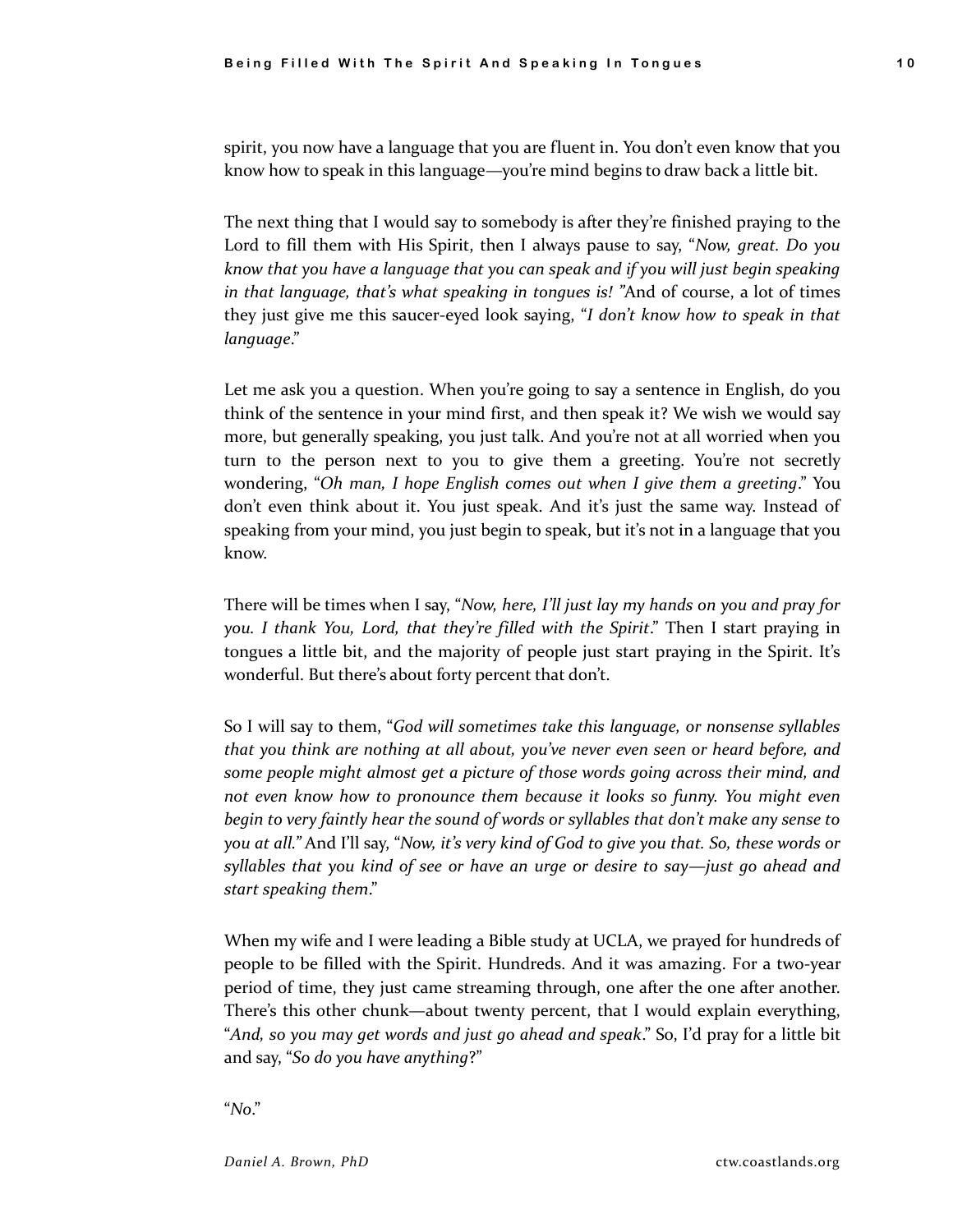spirit, you now have a language that you are fluent in. You don't even know that you know how to speak in this language—you're mind begins to draw back a little bit.

The next thing that I would say to somebody is after they're finished praying to the Lord to fill them with His Spirit, then I always pause to say, "*Now, great. Do you know that you have a language that you can speak and if you will just begin speaking in that language, that's what speaking in tongues is! "*And of course, a lot of times they just give me this saucer-eyed look saying, "*I don't know how to speak in that language*."

Let me ask you a question. When you're going to say a sentence in English, do you think of the sentence in your mind first, and then speak it? We wish we would say more, but generally speaking, you just talk. And you're not at all worried when you turn to the person next to you to give them a greeting. You're not secretly wondering, "*Oh man, I hope English comes out when I give them a greeting*." You don't even think about it. You just speak. And it's just the same way. Instead of speaking from your mind, you just begin to speak, but it's not in a language that you know.

There will be times when I say, "*Now, here, I'll just lay my hands on you and pray for you. I thank You, Lord, that they're filled with the Spirit*." Then I start praying in tongues a little bit, and the majority of people just start praying in the Spirit. It's wonderful. But there's about forty percent that don't.

So I will say to them, "*God will sometimes take this language, or nonsense syllables that you think are nothing at all about, you've never even seen or heard before, and some people might almost get a picture of those words going across their mind, and not even know how to pronounce them because it looks so funny. You might even begin to very faintly hear the sound of words or syllables that don't make any sense to you at all."* And I'll say, "*Now, it's very kind of God to give you that. So, these words or syllables that you kind of see or have an urge or desire to say—just go ahead and start speaking them*."

When my wife and I were leading a Bible study at UCLA, we prayed for hundreds of people to be filled with the Spirit. Hundreds. And it was amazing. For a two-year period of time, they just came streaming through, one after the one after another. There's this other chunk—about twenty percent, that I would explain everything, "*And, so you may get words and just go ahead and speak*." So, I'd pray for a little bit and say, "*So do you have anything*?"

"*No*."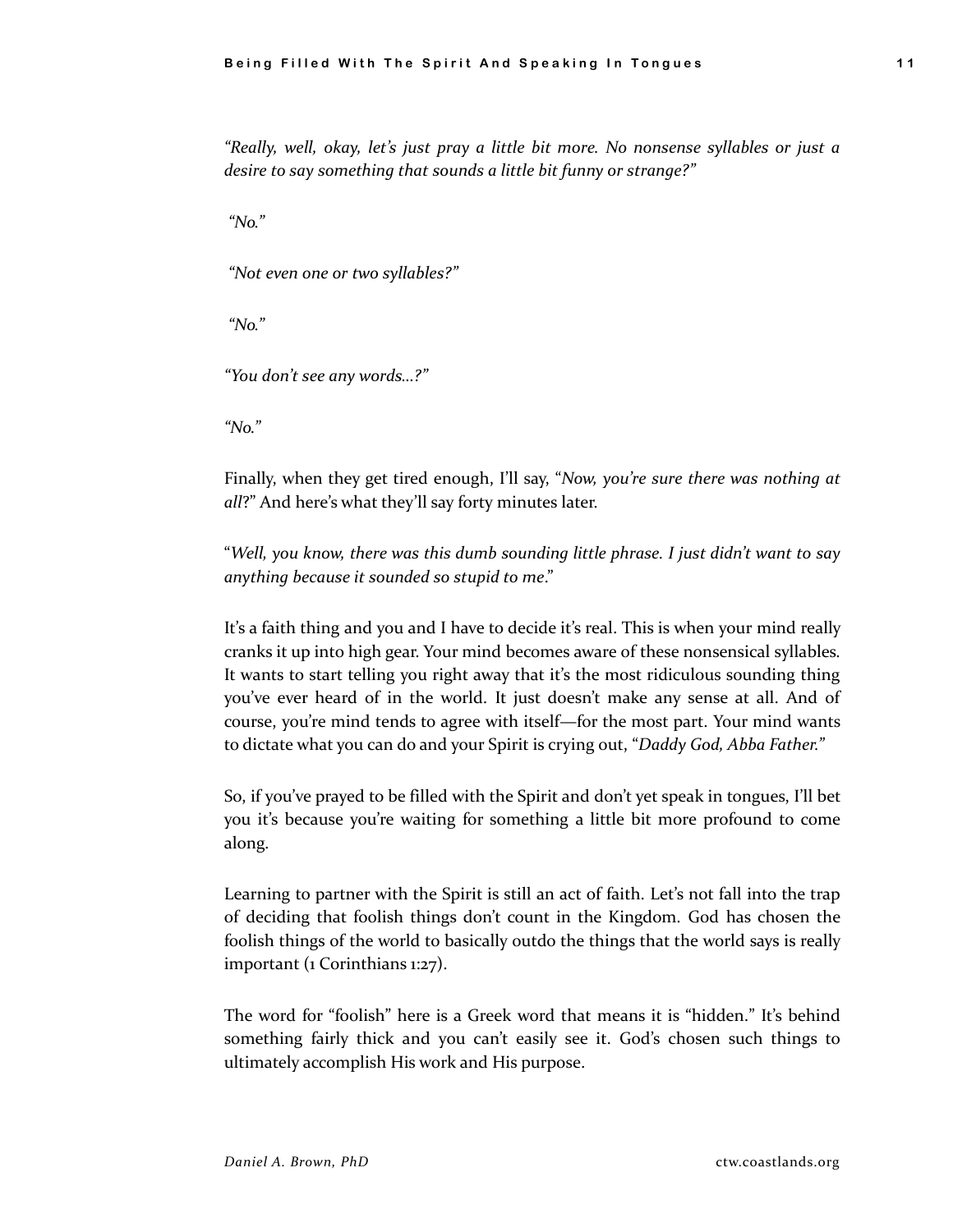*"Really, well, okay, let's just pray a little bit more. No nonsense syllables or just a desire to say something that sounds a little bit funny or strange?"* 

*"No."* 

*"Not even one or two syllables?"* 

*"No."*

*"You don't see any words…?"*

*"No."*

Finally, when they get tired enough, I'll say, "*Now, you're sure there was nothing at all*?" And here's what they'll say forty minutes later.

"*Well, you know, there was this dumb sounding little phrase. I just didn't want to say anything because it sounded so stupid to me*."

It's a faith thing and you and I have to decide it's real. This is when your mind really cranks it up into high gear. Your mind becomes aware of these nonsensical syllables. It wants to start telling you right away that it's the most ridiculous sounding thing you've ever heard of in the world. It just doesn't make any sense at all. And of course, you're mind tends to agree with itself—for the most part. Your mind wants to dictate what you can do and your Spirit is crying out, "*Daddy God, Abba Father."*

So, if you've prayed to be filled with the Spirit and don't yet speak in tongues, I'll bet you it's because you're waiting for something a little bit more profound to come along.

Learning to partner with the Spirit is still an act of faith. Let's not fall into the trap of deciding that foolish things don't count in the Kingdom. God has chosen the foolish things of the world to basically outdo the things that the world says is really important (1 Corinthians 1:27).

The word for "foolish" here is a Greek word that means it is "hidden." It's behind something fairly thick and you can't easily see it. God's chosen such things to ultimately accomplish His work and His purpose.